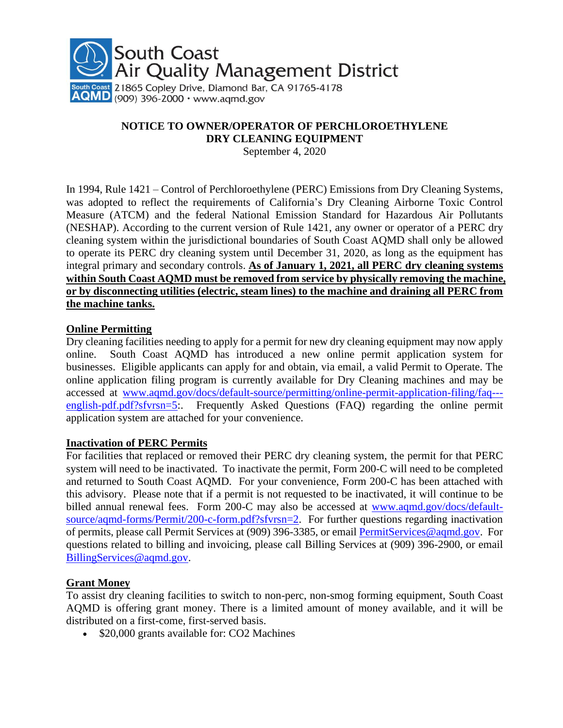

### **NOTICE TO OWNER/OPERATOR OF PERCHLOROETHYLENE DRY CLEANING EQUIPMENT**

September 4, 2020

In 1994, Rule 1421 – Control of Perchloroethylene (PERC) Emissions from Dry Cleaning Systems, was adopted to reflect the requirements of California's Dry Cleaning Airborne Toxic Control Measure (ATCM) and the federal National Emission Standard for Hazardous Air Pollutants (NESHAP). According to the current version of Rule 1421, any owner or operator of a PERC dry cleaning system within the jurisdictional boundaries of South Coast AQMD shall only be allowed to operate its PERC dry cleaning system until December 31, 2020, as long as the equipment has integral primary and secondary controls. **As of January 1, 2021, all PERC dry cleaning systems within South Coast AQMD must be removed from service by physically removing the machine, or by disconnecting utilities (electric, steam lines) to the machine and draining all PERC from the machine tanks.**

#### **Online Permitting**

Dry cleaning facilities needing to apply for a permit for new dry cleaning equipment may now apply online. South Coast AQMD has introduced a new online permit application system for businesses. Eligible applicants can apply for and obtain, via email, a valid Permit to Operate. The online application filing program is currently available for Dry Cleaning machines and may be accessed at [www.aqmd.gov/docs/default-source/permitting/online-permit-application-filing/faq--](http://www.aqmd.gov/docs/default-source/permitting/online-permit-application-filing/faq---english-pdf.pdf?sfvrsn=5) [english-pdf.pdf?sfvrsn=5:](http://www.aqmd.gov/docs/default-source/permitting/online-permit-application-filing/faq---english-pdf.pdf?sfvrsn=5). Frequently Asked Questions (FAQ) regarding the online permit application system are attached for your convenience.

#### **Inactivation of PERC Permits**

For facilities that replaced or removed their PERC dry cleaning system, the permit for that PERC system will need to be inactivated. To inactivate the permit, Form 200-C will need to be completed and returned to South Coast AQMD. For your convenience, Form 200-C has been attached with this advisory. Please note that if a permit is not requested to be inactivated, it will continue to be billed annual renewal fees. Form 200-C may also be accessed at [www.aqmd.gov/docs/default](http://www.aqmd.gov/docs/default-source/aqmd-forms/Permit/200-c-form.pdf?sfvrsn=2)[source/aqmd-forms/Permit/200-c-form.pdf?sfvrsn=2.](http://www.aqmd.gov/docs/default-source/aqmd-forms/Permit/200-c-form.pdf?sfvrsn=2) For further questions regarding inactivation of permits, please call Permit Services at (909) 396-3385, or email [PermitServices@aqmd.gov.](mailto:PermitServices@aqmd.gov) For questions related to billing and invoicing, please call Billing Services at (909) 396-2900, or email [BillingServices@aqmd.gov.](mailto:BillingServices@aqmd.gov)

#### **Grant Money**

To assist dry cleaning facilities to switch to non-perc, non-smog forming equipment, South Coast AQMD is offering grant money. There is a limited amount of money available, and it will be distributed on a first-come, first-served basis.

• \$20,000 grants available for: CO2 Machines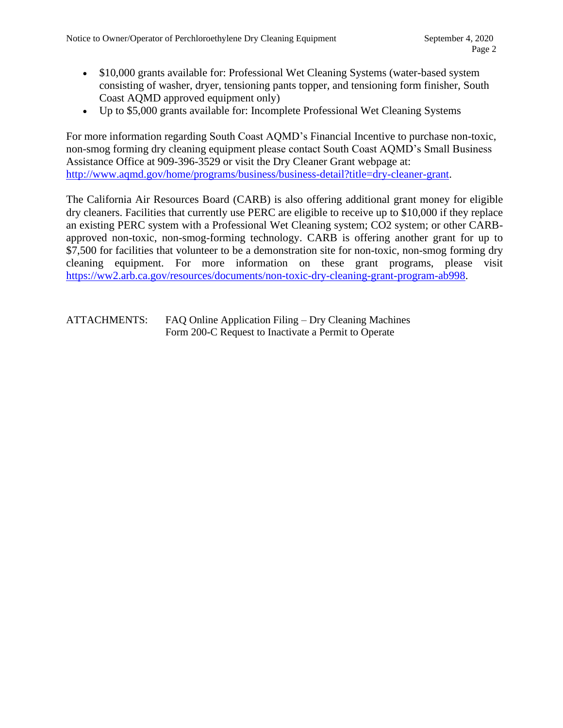- \$10,000 grants available for: Professional Wet Cleaning Systems (water-based system consisting of washer, dryer, tensioning pants topper, and tensioning form finisher, South Coast AQMD approved equipment only)
- Up to \$5,000 grants available for: Incomplete Professional Wet Cleaning Systems

For more information regarding South Coast AQMD's Financial Incentive to purchase non-toxic, non-smog forming dry cleaning equipment please contact South Coast AQMD's Small Business Assistance Office at 909-396-3529 or visit the Dry Cleaner Grant webpage at: [http://www.aqmd.gov/home/programs/business/business-detail?title=dry-cleaner-grant.](http://www.aqmd.gov/home/programs/business/business-detail?title=dry-cleaner-grant)

The California Air Resources Board (CARB) is also offering additional grant money for eligible dry cleaners. Facilities that currently use PERC are eligible to receive up to \$10,000 if they replace an existing PERC system with a Professional Wet Cleaning system; CO2 system; or other CARBapproved non-toxic, non-smog-forming technology. CARB is offering another grant for up to \$7,500 for facilities that volunteer to be a demonstration site for non-toxic, non-smog forming dry cleaning equipment. For more information on these grant programs, please visit [https://ww2.arb.ca.gov/resources/documents/non-toxic-dry-cleaning-grant-program-ab998.](https://ww2.arb.ca.gov/resources/documents/non-toxic-dry-cleaning-grant-program-ab998)

ATTACHMENTS: FAQ Online Application Filing – Dry Cleaning Machines Form 200-C Request to Inactivate a Permit to Operate